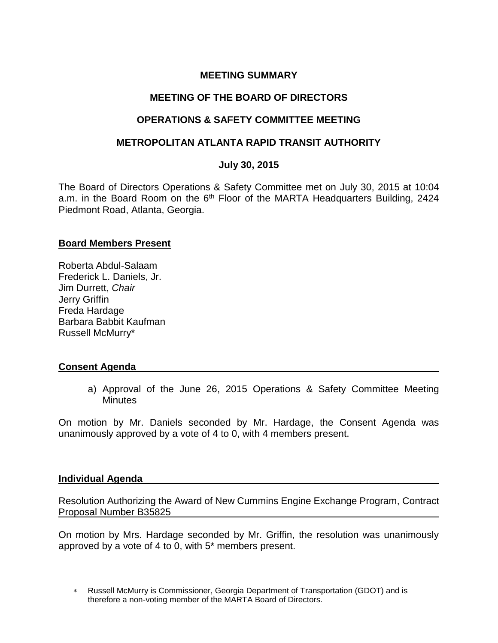# **MEETING SUMMARY**

# **MEETING OF THE BOARD OF DIRECTORS**

# **OPERATIONS & SAFETY COMMITTEE MEETING**

### **METROPOLITAN ATLANTA RAPID TRANSIT AUTHORITY**

# **July 30, 2015**

The Board of Directors Operations & Safety Committee met on July 30, 2015 at 10:04 a.m. in the Board Room on the 6<sup>th</sup> Floor of the MARTA Headquarters Building, 2424 Piedmont Road, Atlanta, Georgia.

#### **Board Members Present**

Roberta Abdul-Salaam Frederick L. Daniels, Jr. Jim Durrett, *Chair*  Jerry Griffin Freda Hardage Barbara Babbit Kaufman Russell McMurry\*

#### **Consent Agenda**

a) Approval of the June 26, 2015 Operations & Safety Committee Meeting **Minutes** 

On motion by Mr. Daniels seconded by Mr. Hardage, the Consent Agenda was unanimously approved by a vote of 4 to 0, with 4 members present.

#### **Individual Agenda**

Resolution Authorizing the Award of New Cummins Engine Exchange Program, Contract Proposal Number B35825

On motion by Mrs. Hardage seconded by Mr. Griffin, the resolution was unanimously approved by a vote of 4 to 0, with 5\* members present.

 Russell McMurry is Commissioner, Georgia Department of Transportation (GDOT) and is therefore a non-voting member of the MARTA Board of Directors.